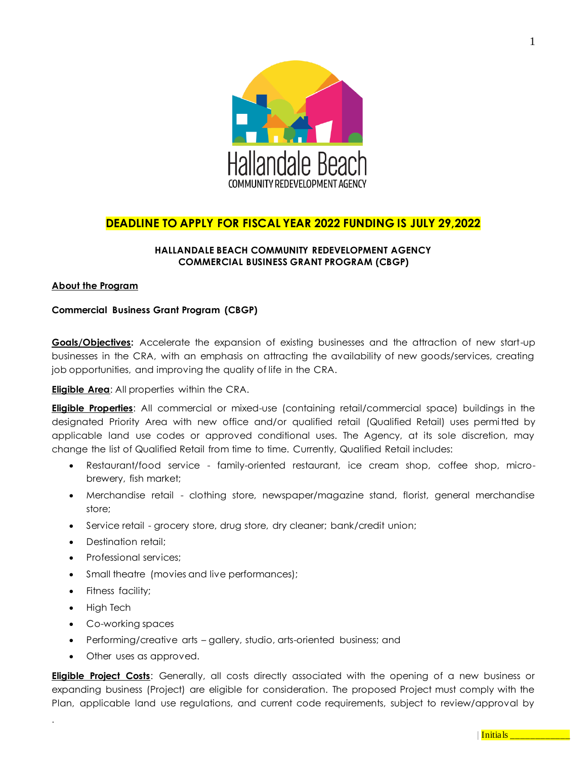

# **DEADLINE TO APPLY FOR FISCAL YEAR 2022 FUNDING IS JULY 29,2022**

# **HALLANDALE BEACH COMMUNITY REDEVELOPMENT AGENCY COMMERCIAL BUSINESS GRANT PROGRAM (CBGP)**

## **About the Program**

# **Commercial Business Grant Program (CBGP)**

**Goals/Objectives:** Accelerate the expansion of existing businesses and the attraction of new start-up businesses in the CRA, with an emphasis on attracting the availability of new goods/services, creating job opportunities, and improving the quality of life in the CRA.

**Eligible Area**: All properties within the CRA.

**Eligible Properties**: All commercial or mixed-use (containing retail/commercial space) buildings in the designated Priority Area with new office and/or qualified retail (Qualified Retail) uses permitted by applicable land use codes or approved conditional uses. The Agency, at its sole discretion, may change the list of Qualified Retail from time to time. Currently, Qualified Retail includes:

- Restaurant/food service family-oriented restaurant, ice cream shop, coffee shop, microbrewery, fish market;
- Merchandise retail clothing store, newspaper/magazine stand, florist, general merchandise store;
- Service retail grocery store, drug store, dry cleaner; bank/credit union;
- Destination retail;
- Professional services;
- Small theatre (movies and live performances);
- Fitness facility;
- High Tech

.

- Co-working spaces
- Performing/creative arts gallery, studio, arts-oriented business; and
- Other uses as approved.

**Eligible Project Costs**: Generally, all costs directly associated with the opening of a new business or expanding business (Project) are eligible for consideration. The proposed Project must comply with the Plan, applicable land use regulations, and current code requirements, subject to review/approval by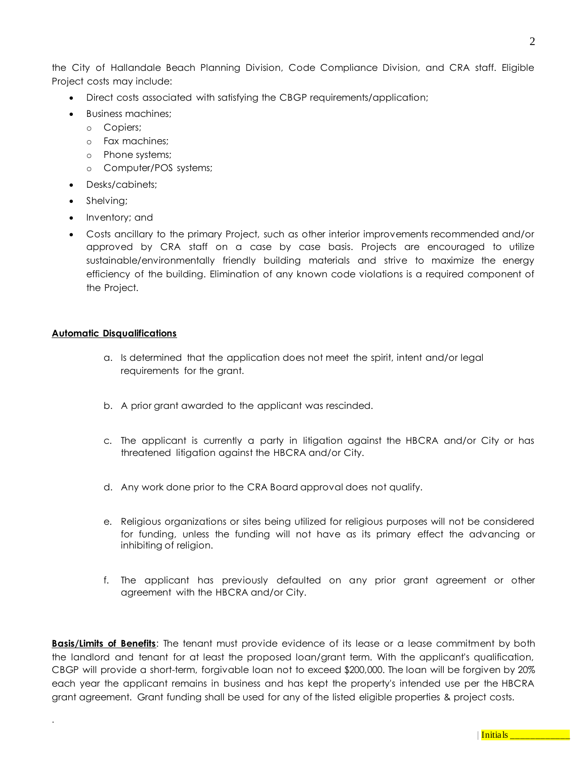the City of Hallandale Beach Planning Division, Code Compliance Division, and CRA staff. Eligible Project costs may include:

- Direct costs associated with satisfying the CBGP requirements/application;
- Business machines;
	- o Copiers;
	- o Fax machines;
	- o Phone systems;
	- o Computer/POS systems;
- Desks/cabinets;
- Shelving;
- Inventory; and
- Costs ancillary to the primary Project, such as other interior improvements recommended and/or approved by CRA staff on a case by case basis. Projects are encouraged to utilize sustainable/environmentally friendly building materials and strive to maximize the energy efficiency of the building. Elimination of any known code violations is a required component of the Project.

# **Automatic Disqualifications**

.

- a. Is determined that the application does not meet the spirit, intent and/or legal requirements for the grant.
- b. A prior grant awarded to the applicant was rescinded.
- c. The applicant is currently a party in litigation against the HBCRA and/or City or has threatened litigation against the HBCRA and/or City.
- d. Any work done prior to the CRA Board approval does not qualify.
- e. Religious organizations or sites being utilized for religious purposes will not be considered for funding, unless the funding will not have as its primary effect the advancing or inhibiting of religion.
- f. The applicant has previously defaulted on any prior grant agreement or other agreement with the HBCRA and/or City.

**Basis/Limits of Benefits**: The tenant must provide evidence of its lease or a lease commitment by both the landlord and tenant for at least the proposed loan/grant term. With the applicant's qualification, CBGP will provide a short-term, forgivable loan not to exceed \$200,000. The loan will be forgiven by 20% each year the applicant remains in business and has kept the property's intended use per the HBCRA grant agreement. Grant funding shall be used for any of the listed eligible properties & project costs.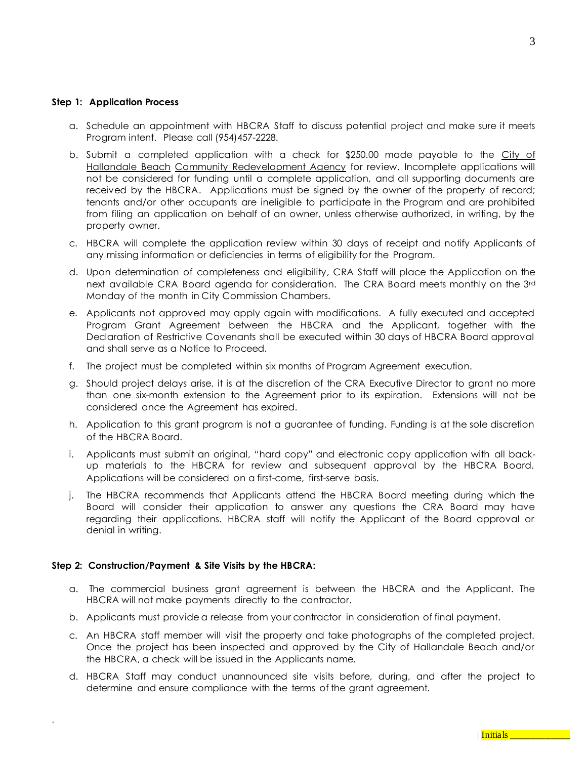#### **Step 1: Application Process**

- a. Schedule an appointment with HBCRA Staff to discuss potential project and make sure it meets Program intent. Please call (954)457-2228.
- b. Submit a completed application with a check for  $$250.00$  made payable to the City of Hallandale Beach Community Redevelopment Agency for review. Incomplete applications will not be considered for funding until a complete application, and all supporting documents are received by the HBCRA. Applications must be signed by the owner of the property of record; tenants and/or other occupants are ineligible to participate in the Program and are prohibited from filing an application on behalf of an owner, unless otherwise authorized, in writing, by the property owner.
- c. HBCRA will complete the application review within 30 days of receipt and notify Applicants of any missing information or deficiencies in terms of eligibility for the Program.
- d. Upon determination of completeness and eligibility, CRA Staff will place the Application on the next available CRA Board agenda for consideration. The CRA Board meets monthly on the 3rd Monday of the month in City Commission Chambers.
- e. Applicants not approved may apply again with modifications. A fully executed and accepted Program Grant Agreement between the HBCRA and the Applicant, together with the Declaration of Restrictive Covenants shall be executed within 30 days of HBCRA Board approval and shall serve as a Notice to Proceed.
- f. The project must be completed within six months of Program Agreement execution.
- g. Should project delays arise, it is at the discretion of the CRA Executive Director to grant no more than one six-month extension to the Agreement prior to its expiration. Extensions will not be considered once the Agreement has expired.
- h. Application to this grant program is not a guarantee of funding. Funding is at the sole discretion of the HBCRA Board.
- i. Applicants must submit an original, "hard copy" and electronic copy application with all backup materials to the HBCRA for review and subsequent approval by the HBCRA Board. Applications will be considered on a first-come, first-serve basis.
- j. The HBCRA recommends that Applicants attend the HBCRA Board meeting during which the Board will consider their application to answer any questions the CRA Board may have regarding their applications. HBCRA staff will notify the Applicant of the Board approval or denial in writing.

#### **Step 2: Construction/Payment & Site Visits by the HBCRA:**

- a. The commercial business grant agreement is between the HBCRA and the Applicant. The HBCRA will not make payments directly to the contractor.
- b. Applicants must provide a release from your contractor in consideration of final payment.
- c. An HBCRA staff member will visit the property and take photographs of the completed project. Once the project has been inspected and approved by the City of Hallandale Beach and/or the HBCRA, a check will be issued in the Applicants name.
- d. HBCRA Staff may conduct unannounced site visits before, during, and after the project to determine and ensure compliance with the terms of the grant agreement.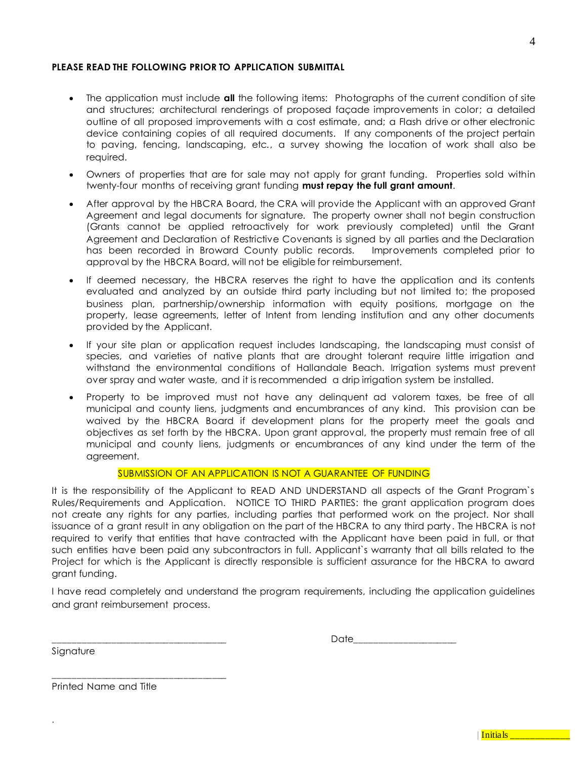# PLEASE READ THE FOLLOWING PRIOR TO APPLICATION SUBMITTAL

- The application must include **all** the following items: Photographs of the current condition of site and structures; architectural renderings of proposed façade improvements in color; a detailed outline of all proposed improvements with a cost estimate, and; a Flash drive or other electronic device containing copies of all required documents. If any components of the project pertain to paving, fencing, landscaping, etc., a survey showing the location of work shall also be required.
- Owners of properties that are for sale may not apply for grant funding. Properties sold within twenty-four months of receiving grant funding **must repay the full grant amount**.
- After approval by the HBCRA Board, the CRA will provide the Applicant with an approved Grant Agreement and legal documents for signature. The property owner shall not begin construction (Grants cannot be applied retroactively for work previously completed) until the Grant Agreement and Declaration of Restrictive Covenants is signed by all parties and the Declaration has been recorded in Broward County public records. Improvements completed prior to approval by the HBCRA Board, will not be eligible for reimbursement.
- If deemed necessary, the HBCRA reserves the right to have the application and its contents evaluated and analyzed by an outside third party including but not limited to; the proposed business plan, partnership/ownership information with equity positions, mortgage on the property, lease agreements, letter of Intent from lending institution and any other documents provided by the Applicant.
- If your site plan or application request includes landscaping, the landscaping must consist of species, and varieties of native plants that are drought tolerant require little irrigation and withstand the environmental conditions of Hallandale Beach. Irrigation systems must prevent over spray and water waste, and it is recommended a drip irrigation system be installed.
- Property to be improved must not have any delinquent ad valorem taxes, be free of all municipal and county liens, judgments and encumbrances of any kind. This provision can be waived by the HBCRA Board if development plans for the property meet the goals and objectives as set forth by the HBCRA. Upon grant approval, the property must remain free of all municipal and county liens, judgments or encumbrances of any kind under the term of the agreement.

#### SUBMISSION OF AN APPLICATION IS NOT A GUARANTEE OF FUNDING

It is the responsibility of the Applicant to READ AND UNDERSTAND all aspects of the Grant Program`s Rules/Requirements and Application. NOTICE TO THIRD PARTIES: the grant application program does not create any rights for any parties, including parties that performed work on the project. Nor shall issuance of a grant result in any obligation on the part of the HBCRA to any third party. The HBCRA is not required to verify that entities that have contracted with the Applicant have been paid in full, or that such entities have been paid any subcontractors in full. Applicant`s warranty that all bills related to the Project for which is the Applicant is directly responsible is sufficient assurance for the HBCRA to award grant funding.

I have read completely and understand the program requirements, including the application guidelines and grant reimbursement process.

 $\Box$  ate

Signature

.

Printed Name and Title

\_\_\_\_\_\_\_\_\_\_\_\_\_\_\_\_\_\_\_\_\_\_\_\_\_\_\_\_\_\_\_\_\_\_\_\_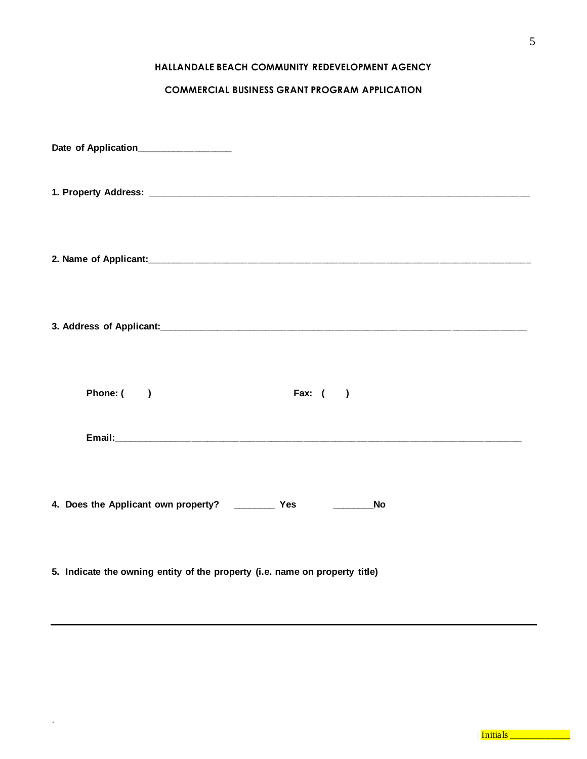# **HALLANDALE BEACH COMMUNITY REDEVELOPMENT AGENCY**

# **COMMERCIAL BUSINESS GRANT PROGRAM APPLICATION**

| Date of Application______________                                       |          |  |
|-------------------------------------------------------------------------|----------|--|
|                                                                         |          |  |
|                                                                         |          |  |
|                                                                         |          |  |
| Phone: ()                                                               | Fax: $($ |  |
|                                                                         |          |  |
| 4. Does the Applicant own property? ___________ Yes _________________No |          |  |

**5. Indicate the owning entity of the property (i.e. name on property title)**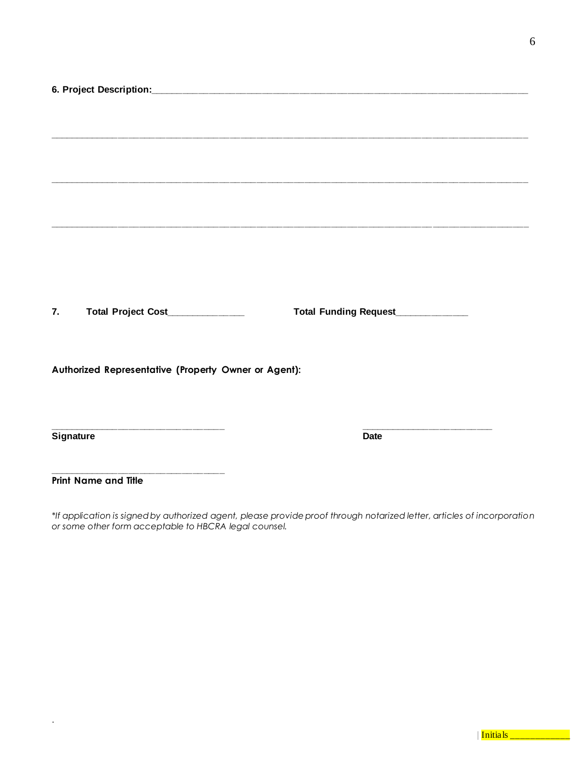| Total Project Cost____________<br>7.                 | Total Funding Request___________ |
|------------------------------------------------------|----------------------------------|
|                                                      |                                  |
|                                                      |                                  |
|                                                      |                                  |
| Authorized Representative (Property Owner or Agent): |                                  |
|                                                      |                                  |
|                                                      |                                  |
|                                                      |                                  |
|                                                      | <b>Date</b>                      |
| Signature                                            |                                  |
|                                                      |                                  |
|                                                      |                                  |
| <b>Print Name and Title</b>                          |                                  |

*\*If application is signed by authorized agent, please provide proof through notarized letter, articles of incorporation or some other form acceptable to HBCRA legal counsel.*